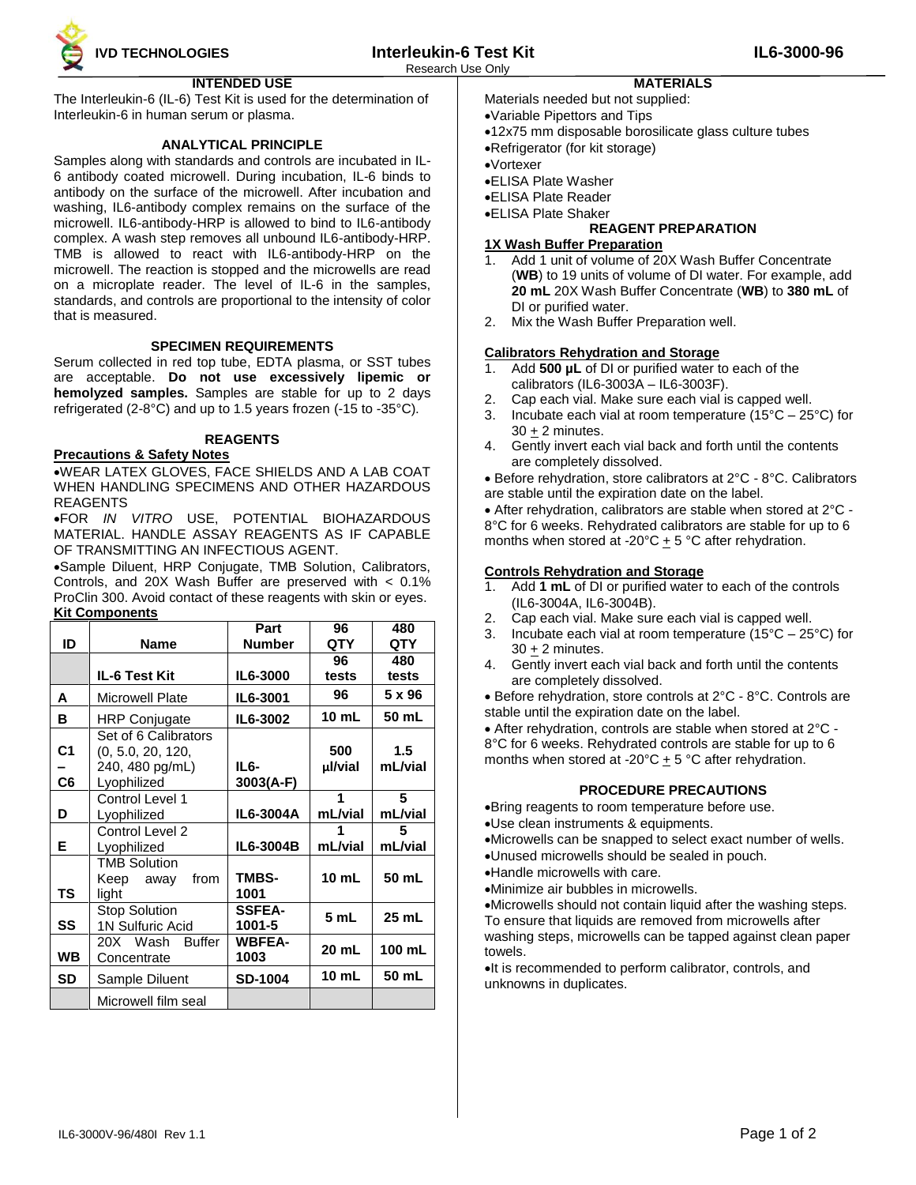

# **INTENDED USE**

The Interleukin-6 (IL-6) Test Kit is used for the determination of Interleukin-6 in human serum or plasma.

#### **ANALYTICAL PRINCIPLE**

Samples along with standards and controls are incubated in IL-6 antibody coated microwell. During incubation, IL-6 binds to antibody on the surface of the microwell. After incubation and washing, IL6-antibody complex remains on the surface of the microwell. IL6-antibody-HRP is allowed to bind to IL6-antibody complex. A wash step removes all unbound IL6-antibody-HRP. TMB is allowed to react with IL6-antibody-HRP on the microwell. The reaction is stopped and the microwells are read on a microplate reader. The level of IL-6 in the samples, standards, and controls are proportional to the intensity of color that is measured.

#### **SPECIMEN REQUIREMENTS**

Serum collected in red top tube, EDTA plasma, or SST tubes are acceptable. **Do not use excessively lipemic or hemolyzed samples.** Samples are stable for up to 2 days refrigerated (2-8°C) and up to 1.5 years frozen (-15 to -35°C).

#### **REAGENTS**

#### **Precautions & Safety Notes**

WEAR LATEX GLOVES, FACE SHIELDS AND A LAB COAT WHEN HANDLING SPECIMENS AND OTHER HAZARDOUS REAGENTS

FOR *IN VITRO* USE, POTENTIAL BIOHAZARDOUS MATERIAL. HANDLE ASSAY REAGENTS AS IF CAPABLE OF TRANSMITTING AN INFECTIOUS AGENT.

Sample Diluent, HRP Conjugate, TMB Solution, Calibrators, Controls, and 20X Wash Buffer are preserved with < 0.1% ProClin 300. Avoid contact of these reagents with skin or eyes. **Kit Components**

|                                  |                                                                             | Part                    | 96              | 480            |
|----------------------------------|-----------------------------------------------------------------------------|-------------------------|-----------------|----------------|
| ID                               | <b>Name</b>                                                                 | <b>Number</b>           | QTY             | QTY            |
|                                  |                                                                             |                         | 96              | 480            |
|                                  | IL-6 Test Kit                                                               | IL6-3000                | tests           | tests          |
| A                                | Microwell Plate                                                             | IL6-3001                | 96              | 5 x 96         |
| в                                | <b>HRP Conjugate</b>                                                        | IL6-3002                | 10 mL           | 50 mL          |
| C <sub>1</sub><br>C <sub>6</sub> | Set of 6 Calibrators<br>(0, 5.0, 20, 120,<br>240, 480 pg/mL)<br>Lyophilized | IL6-<br>3003(A-F)       | 500<br>ul/vial  | 1.5<br>mL/vial |
| D                                | Control Level 1<br>Lyophilized                                              | IL6-3004A               | mL/vial         | 5<br>mL/vial   |
| Е                                | Control Level 2<br>Lyophilized                                              | IL6-3004B               | mL/vial         | 5<br>mL/vial   |
| ΤS                               | <b>TMB Solution</b><br>Keep away<br>from<br>light                           | TMBS-<br>1001           | $10 \text{ mL}$ | 50 mL          |
| SS                               | <b>Stop Solution</b><br>1N Sulfuric Acid                                    | <b>SSFEA-</b><br>1001-5 | 5 mL            | 25 mL          |
| <b>WB</b>                        | 20X Wash<br><b>Buffer</b><br>Concentrate                                    | <b>WBFEA-</b><br>1003   | 20 mL           | 100 mL         |
| SD                               | Sample Diluent                                                              | <b>SD-1004</b>          | 10 mL           | 50 mL          |
|                                  | Microwell film seal                                                         |                         |                 |                |

## **MATERIALS**

- Materials needed but not supplied:
- Variable Pipettors and Tips
- 12x75 mm disposable borosilicate glass culture tubes
- Refrigerator (for kit storage)
- Vortexer
- ELISA Plate Washer
- ELISA Plate Reader
- ELISA Plate Shaker

## **REAGENT PREPARATION**

- **1X Wash Buffer Preparation**
- Add 1 unit of volume of 20X Wash Buffer Concentrate (**WB**) to 19 units of volume of DI water. For example, add **20 mL** 20X Wash Buffer Concentrate (**WB**) to **380 mL** of DI or purified water.
- 2. Mix the Wash Buffer Preparation well.

#### **Calibrators Rehydration and Storage**

- 1. Add **500 µL** of DI or purified water to each of the calibrators (IL6-3003A – IL6-3003F).
- 2. Cap each vial. Make sure each vial is capped well.
- 3. Incubate each vial at room temperature (15 $^{\circ}$ C 25 $^{\circ}$ C) for  $30 + 2$  minutes.
- 4. Gently invert each vial back and forth until the contents are completely dissolved.
- Before rehydration, store calibrators at 2°C 8°C. Calibrators are stable until the expiration date on the label.

 After rehydration, calibrators are stable when stored at 2°C - 8°C for 6 weeks. Rehydrated calibrators are stable for up to 6 months when stored at -20 $^{\circ}$ C + 5  $^{\circ}$ C after rehydration.

#### **Controls Rehydration and Storage**

- 1. Add **1 mL** of DI or purified water to each of the controls (IL6-3004A, IL6-3004B).
- 2. Cap each vial. Make sure each vial is capped well.
- 3. Incubate each vial at room temperature ( $15^{\circ}$ C  $25^{\circ}$ C) for  $30 + 2$  minutes.
- 4. Gently invert each vial back and forth until the contents are completely dissolved.
- Before rehydration, store controls at 2°C 8°C. Controls are stable until the expiration date on the label.

 After rehydration, controls are stable when stored at 2°C - 8°C for 6 weeks. Rehydrated controls are stable for up to 6 months when stored at -20 $^{\circ}$ C + 5  $^{\circ}$ C after rehydration.

#### **PROCEDURE PRECAUTIONS**

Bring reagents to room temperature before use.

Use clean instruments & equipments.

Microwells can be snapped to select exact number of wells.

- Unused microwells should be sealed in pouch.
- Handle microwells with care.

Minimize air bubbles in microwells.

Microwells should not contain liquid after the washing steps. To ensure that liquids are removed from microwells after washing steps, microwells can be tapped against clean paper towels.

 $\bullet$ It is recommended to perform calibrator, controls, and unknowns in duplicates.